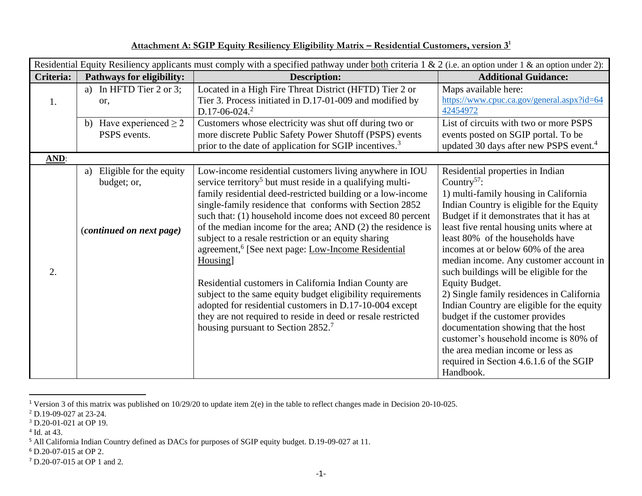| Residential Equity Resiliency applicants must comply with a specified pathway under both criteria 1 & 2 (i.e. an option under 1 & an option under 2): |                                                                              |                                                                                                                                                                                                                                                                                                                                                                                                                                                                                                                                                                                                                                                                                                                                                                                                                                    |                                                                                                                                                                                                                                                                                                                                                                                                                                                                                                                                                                                                                                                                                                                                        |  |  |
|-------------------------------------------------------------------------------------------------------------------------------------------------------|------------------------------------------------------------------------------|------------------------------------------------------------------------------------------------------------------------------------------------------------------------------------------------------------------------------------------------------------------------------------------------------------------------------------------------------------------------------------------------------------------------------------------------------------------------------------------------------------------------------------------------------------------------------------------------------------------------------------------------------------------------------------------------------------------------------------------------------------------------------------------------------------------------------------|----------------------------------------------------------------------------------------------------------------------------------------------------------------------------------------------------------------------------------------------------------------------------------------------------------------------------------------------------------------------------------------------------------------------------------------------------------------------------------------------------------------------------------------------------------------------------------------------------------------------------------------------------------------------------------------------------------------------------------------|--|--|
| Criteria:                                                                                                                                             | Pathways for eligibility:                                                    | <b>Description:</b>                                                                                                                                                                                                                                                                                                                                                                                                                                                                                                                                                                                                                                                                                                                                                                                                                | <b>Additional Guidance:</b>                                                                                                                                                                                                                                                                                                                                                                                                                                                                                                                                                                                                                                                                                                            |  |  |
| 1.                                                                                                                                                    | a) In HFTD Tier $2$ or $3$ ;<br>or,                                          | Located in a High Fire Threat District (HFTD) Tier 2 or<br>Tier 3. Process initiated in D.17-01-009 and modified by<br>$D.17 - 06 - 024.2$                                                                                                                                                                                                                                                                                                                                                                                                                                                                                                                                                                                                                                                                                         | Maps available here:<br>https://www.cpuc.ca.gov/general.aspx?id=64<br>42454972                                                                                                                                                                                                                                                                                                                                                                                                                                                                                                                                                                                                                                                         |  |  |
|                                                                                                                                                       | b) Have experienced $\geq 2$<br>PSPS events.                                 | Customers whose electricity was shut off during two or<br>more discrete Public Safety Power Shutoff (PSPS) events<br>prior to the date of application for SGIP incentives. <sup>3</sup>                                                                                                                                                                                                                                                                                                                                                                                                                                                                                                                                                                                                                                            | List of circuits with two or more PSPS<br>events posted on SGIP portal. To be<br>updated 30 days after new PSPS event. <sup>4</sup>                                                                                                                                                                                                                                                                                                                                                                                                                                                                                                                                                                                                    |  |  |
| $\Delta N D$ :                                                                                                                                        |                                                                              |                                                                                                                                                                                                                                                                                                                                                                                                                                                                                                                                                                                                                                                                                                                                                                                                                                    |                                                                                                                                                                                                                                                                                                                                                                                                                                                                                                                                                                                                                                                                                                                                        |  |  |
| 2.                                                                                                                                                    | a) Eligible for the equity<br>budget; or,<br><i>(continued on next page)</i> | Low-income residential customers living anywhere in IOU<br>service territory <sup>5</sup> but must reside in a qualifying multi-<br>family residential deed-restricted building or a low-income<br>single-family residence that conforms with Section 2852<br>such that: (1) household income does not exceed 80 percent<br>of the median income for the area; AND (2) the residence is<br>subject to a resale restriction or an equity sharing<br>agreement, <sup>6</sup> [See next page: Low-Income Residential]<br>Housing]<br>Residential customers in California Indian County are<br>subject to the same equity budget eligibility requirements<br>adopted for residential customers in D.17-10-004 except<br>they are not required to reside in deed or resale restricted<br>housing pursuant to Section 2852. <sup>7</sup> | Residential properties in Indian<br>Country <sup>57</sup> :<br>1) multi-family housing in California<br>Indian Country is eligible for the Equity<br>Budget if it demonstrates that it has at<br>least five rental housing units where at<br>least 80% of the households have<br>incomes at or below 60% of the area<br>median income. Any customer account in<br>such buildings will be eligible for the<br>Equity Budget.<br>2) Single family residences in California<br>Indian Country are eligible for the equity<br>budget if the customer provides<br>documentation showing that the host<br>customer's household income is 80% of<br>the area median income or less as<br>required in Section 4.6.1.6 of the SGIP<br>Handbook. |  |  |

## **Attachment A: SGIP Equity Resiliency Eligibility Matrix – Residential Customers, version 3<sup>1</sup>**

<sup>1</sup> Version 3 of this matrix was published on 10/29/20 to update item 2(e) in the table to reflect changes made in Decision 20-10-025.

<sup>2</sup> D.19-09-027 at 23-24.

 $3 \text{ D.20-01-021}$  at OP 19.

<sup>4</sup> Id. at 43.

<sup>5</sup> All California Indian Country defined as DACs for purposes of SGIP equity budget. D.19-09-027 at 11.

<sup>6</sup> D.20-07-015 at OP 2.

<sup>7</sup> D.20-07-015 at OP 1 and 2.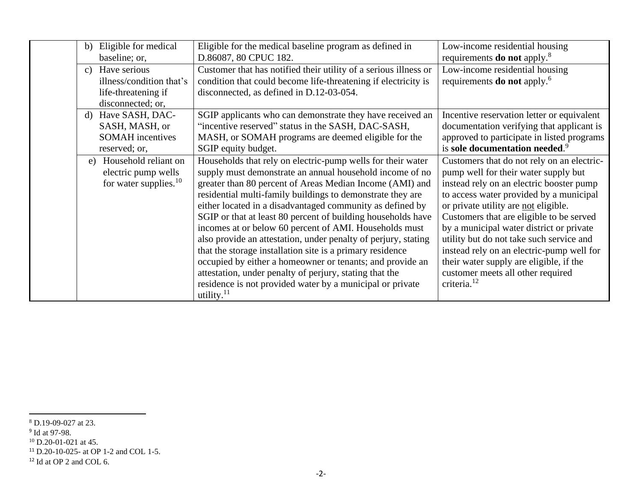| b)           | Eligible for medical                                                                 | Eligible for the medical baseline program as defined in                                                                                                                                                                                                                                                                                                                                                                                                                                                                                                                                                                                                                                                                                                                       | Low-income residential housing                                                                                                                                                                                                                                                                                                                                                                                                                                                                                |
|--------------|--------------------------------------------------------------------------------------|-------------------------------------------------------------------------------------------------------------------------------------------------------------------------------------------------------------------------------------------------------------------------------------------------------------------------------------------------------------------------------------------------------------------------------------------------------------------------------------------------------------------------------------------------------------------------------------------------------------------------------------------------------------------------------------------------------------------------------------------------------------------------------|---------------------------------------------------------------------------------------------------------------------------------------------------------------------------------------------------------------------------------------------------------------------------------------------------------------------------------------------------------------------------------------------------------------------------------------------------------------------------------------------------------------|
|              | baseline; or,                                                                        | D.86087, 80 CPUC 182.                                                                                                                                                                                                                                                                                                                                                                                                                                                                                                                                                                                                                                                                                                                                                         | requirements <b>do not</b> apply. <sup>8</sup>                                                                                                                                                                                                                                                                                                                                                                                                                                                                |
| $\mathbf{c}$ | Have serious<br>illness/condition that's<br>life-threatening if<br>disconnected; or, | Customer that has notified their utility of a serious illness or<br>condition that could become life-threatening if electricity is<br>disconnected, as defined in D.12-03-054.                                                                                                                                                                                                                                                                                                                                                                                                                                                                                                                                                                                                | Low-income residential housing<br>requirements <b>do not</b> apply. <sup>6</sup>                                                                                                                                                                                                                                                                                                                                                                                                                              |
|              | d) Have SASH, DAC-                                                                   | SGIP applicants who can demonstrate they have received an                                                                                                                                                                                                                                                                                                                                                                                                                                                                                                                                                                                                                                                                                                                     | Incentive reservation letter or equivalent                                                                                                                                                                                                                                                                                                                                                                                                                                                                    |
|              | SASH, MASH, or                                                                       | "incentive reserved" status in the SASH, DAC-SASH,                                                                                                                                                                                                                                                                                                                                                                                                                                                                                                                                                                                                                                                                                                                            | documentation verifying that applicant is                                                                                                                                                                                                                                                                                                                                                                                                                                                                     |
|              | <b>SOMAH</b> incentives                                                              | MASH, or SOMAH programs are deemed eligible for the                                                                                                                                                                                                                                                                                                                                                                                                                                                                                                                                                                                                                                                                                                                           | approved to participate in listed programs                                                                                                                                                                                                                                                                                                                                                                                                                                                                    |
|              | reserved; or,                                                                        | SGIP equity budget.                                                                                                                                                                                                                                                                                                                                                                                                                                                                                                                                                                                                                                                                                                                                                           | is sole documentation needed. <sup>9</sup>                                                                                                                                                                                                                                                                                                                                                                                                                                                                    |
|              | e) Household reliant on<br>electric pump wells<br>for water supplies. <sup>10</sup>  | Households that rely on electric-pump wells for their water<br>supply must demonstrate an annual household income of no<br>greater than 80 percent of Areas Median Income (AMI) and<br>residential multi-family buildings to demonstrate they are<br>either located in a disadvantaged community as defined by<br>SGIP or that at least 80 percent of building households have<br>incomes at or below 60 percent of AMI. Households must<br>also provide an attestation, under penalty of perjury, stating<br>that the storage installation site is a primary residence<br>occupied by either a homeowner or tenants; and provide an<br>attestation, under penalty of perjury, stating that the<br>residence is not provided water by a municipal or private<br>utility. $11$ | Customers that do not rely on an electric-<br>pump well for their water supply but<br>instead rely on an electric booster pump<br>to access water provided by a municipal<br>or private utility are not eligible.<br>Customers that are eligible to be served<br>by a municipal water district or private<br>utility but do not take such service and<br>instead rely on an electric-pump well for<br>their water supply are eligible, if the<br>customer meets all other required<br>criteria. <sup>12</sup> |

<sup>8</sup> D.19-09-027 at 23.

<sup>&</sup>lt;sup>9</sup> Id at 97-98.

 $10$  D.20-01-021 at 45.

<sup>11</sup> D.20-10-025- at OP 1-2 and COL 1-5.

 $^{12}$  Id at OP 2 and COL 6.